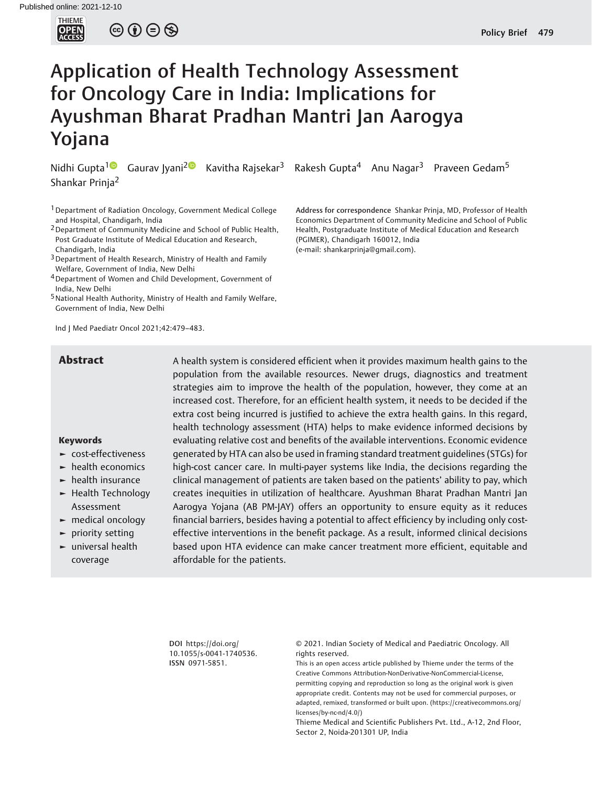

 $\circledcirc \circledcirc \circledcirc$ 

# Application of Health Technology Assessment for Oncology Care in India: Implications for Ayushman Bharat Pradhan Mantri Jan Aarogya Yojana

Shankar Prinja<sup>2</sup>

<sup>1</sup> Department of Radiation Oncology, Government Medical College and Hospital, Chandigarh, India

2Department of Community Medicine and School of Public Health, Post Graduate Institute of Medical Education and Research, Chandigarh, India

<sup>3</sup> Department of Health Research, Ministry of Health and Family Welfare, Government of India, New Delhi

4Department of Women and Child Development, Government of India, New Delhi

<sup>5</sup> National Health Authority, Ministry of Health and Family Welfare, Government of India, New Delhi

Ind J Med Paediatr Oncol 2021;42:479–483.

Nidhi Gupta<sup>1</sup> Gaurav Jyani<sup>2</sup> Kavitha Rajsekar<sup>3</sup> Rakesh Gupta<sup>4</sup> Anu Nagar<sup>3</sup> Praveen Gedam<sup>5</sup>

Address for correspondence Shankar Prinja, MD, Professor of Health Economics Department of Community Medicine and School of Public Health, Postgraduate Institute of Medical Education and Research (PGIMER), Chandigarh 160012, India (e-mail: [shankarprinja@gmail.com](mailto:shankarprinja@gmail.com)).

#### Keywords

- ► cost-effectiveness
- ► health economics
- ► health insurance
- ► Health Technology Assessment
- ► medical oncology
- ► priority setting
- ► universal health coverage

**Abstract** A health system is considered efficient when it provides maximum health gains to the population from the available resources. Newer drugs, diagnostics and treatment strategies aim to improve the health of the population, however, they come at an increased cost. Therefore, for an efficient health system, it needs to be decided if the extra cost being incurred is justified to achieve the extra health gains. In this regard, health technology assessment (HTA) helps to make evidence informed decisions by evaluating relative cost and benefits of the available interventions. Economic evidence generated by HTA can also be used in framing standard treatment guidelines (STGs) for high-cost cancer care. In multi-payer systems like India, the decisions regarding the clinical management of patients are taken based on the patients' ability to pay, which creates inequities in utilization of healthcare. Ayushman Bharat Pradhan Mantri Jan Aarogya Yojana (AB PM-JAY) offers an opportunity to ensure equity as it reduces financial barriers, besides having a potential to affect efficiency by including only costeffective interventions in the benefit package. As a result, informed clinical decisions based upon HTA evidence can make cancer treatment more efficient, equitable and affordable for the patients.

> DOI [https://doi.org/](https://doi.org/10.1055/s-0041-1740536) [10.1055/s-0041-1740536](https://doi.org/10.1055/s-0041-1740536). ISSN 0971-5851.

© 2021. Indian Society of Medical and Paediatric Oncology. All rights reserved.

This is an open access article published by Thieme under the terms of the Creative Commons Attribution-NonDerivative-NonCommercial-License, permitting copying and reproduction so long as the original work is given appropriate credit. Contents may not be used for commercial purposes, or adapted, remixed, transformed or built upon. (https://creativecommons.org/ licenses/by-nc-nd/4.0/)

Thieme Medical and Scientific Publishers Pvt. Ltd., A-12, 2nd Floor, Sector 2, Noida-201301 UP, India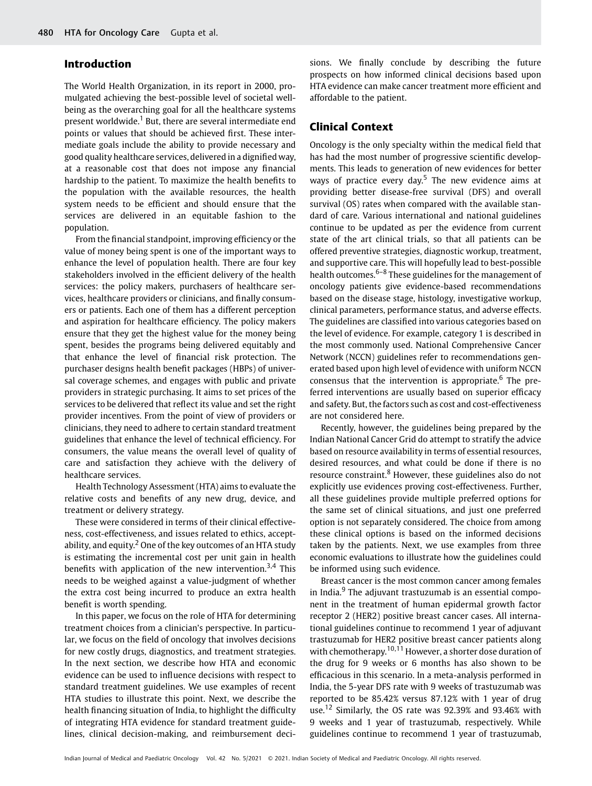# Introduction

The World Health Organization, in its report in 2000, promulgated achieving the best-possible level of societal wellbeing as the overarching goal for all the healthcare systems present worldwide.<sup>1</sup> But, there are several intermediate end points or values that should be achieved first. These intermediate goals include the ability to provide necessary and good quality healthcare services, delivered in a dignified way, at a reasonable cost that does not impose any financial hardship to the patient. To maximize the health benefits to the population with the available resources, the health system needs to be efficient and should ensure that the services are delivered in an equitable fashion to the population.

From the financial standpoint, improving efficiency or the value of money being spent is one of the important ways to enhance the level of population health. There are four key stakeholders involved in the efficient delivery of the health services: the policy makers, purchasers of healthcare services, healthcare providers or clinicians, and finally consumers or patients. Each one of them has a different perception and aspiration for healthcare efficiency. The policy makers ensure that they get the highest value for the money being spent, besides the programs being delivered equitably and that enhance the level of financial risk protection. The purchaser designs health benefit packages (HBPs) of universal coverage schemes, and engages with public and private providers in strategic purchasing. It aims to set prices of the services to be delivered that reflect its value and set the right provider incentives. From the point of view of providers or clinicians, they need to adhere to certain standard treatment guidelines that enhance the level of technical efficiency. For consumers, the value means the overall level of quality of care and satisfaction they achieve with the delivery of healthcare services.

Health Technology Assessment (HTA) aims to evaluate the relative costs and benefits of any new drug, device, and treatment or delivery strategy.

These were considered in terms of their clinical effectiveness, cost-effectiveness, and issues related to ethics, acceptability, and equity.<sup>2</sup> One of the key outcomes of an HTA study is estimating the incremental cost per unit gain in health benefits with application of the new intervention.<sup>3,4</sup> This needs to be weighed against a value-judgment of whether the extra cost being incurred to produce an extra health benefit is worth spending.

In this paper, we focus on the role of HTA for determining treatment choices from a clinician's perspective. In particular, we focus on the field of oncology that involves decisions for new costly drugs, diagnostics, and treatment strategies. In the next section, we describe how HTA and economic evidence can be used to influence decisions with respect to standard treatment guidelines. We use examples of recent HTA studies to illustrate this point. Next, we describe the health financing situation of India, to highlight the difficulty of integrating HTA evidence for standard treatment guidelines, clinical decision-making, and reimbursement decisions. We finally conclude by describing the future prospects on how informed clinical decisions based upon HTA evidence can make cancer treatment more efficient and affordable to the patient.

## Clinical Context

Oncology is the only specialty within the medical field that has had the most number of progressive scientific developments. This leads to generation of new evidences for better ways of practice every day.<sup>5</sup> The new evidence aims at providing better disease-free survival (DFS) and overall survival (OS) rates when compared with the available standard of care. Various international and national guidelines continue to be updated as per the evidence from current state of the art clinical trials, so that all patients can be offered preventive strategies, diagnostic workup, treatment, and supportive care. This will hopefully lead to best-possible health outcomes.<sup>6–8</sup> These guidelines for the management of oncology patients give evidence-based recommendations based on the disease stage, histology, investigative workup, clinical parameters, performance status, and adverse effects. The guidelines are classified into various categories based on the level of evidence. For example, category 1 is described in the most commonly used. National Comprehensive Cancer Network (NCCN) guidelines refer to recommendations generated based upon high level of evidence with uniform NCCN consensus that the intervention is appropriate.<sup>6</sup> The preferred interventions are usually based on superior efficacy and safety. But, the factors such as cost and cost-effectiveness are not considered here.

Recently, however, the guidelines being prepared by the Indian National Cancer Grid do attempt to stratify the advice based on resource availability in terms of essential resources, desired resources, and what could be done if there is no resource constraint.<sup>8</sup> However, these guidelines also do not explicitly use evidences proving cost-effectiveness. Further, all these guidelines provide multiple preferred options for the same set of clinical situations, and just one preferred option is not separately considered. The choice from among these clinical options is based on the informed decisions taken by the patients. Next, we use examples from three economic evaluations to illustrate how the guidelines could be informed using such evidence.

Breast cancer is the most common cancer among females in India.<sup>9</sup> The adjuvant trastuzumab is an essential component in the treatment of human epidermal growth factor receptor 2 (HER2) positive breast cancer cases. All international guidelines continue to recommend 1 year of adjuvant trastuzumab for HER2 positive breast cancer patients along with chemotherapy.<sup>10,11</sup> However, a shorter dose duration of the drug for 9 weeks or 6 months has also shown to be efficacious in this scenario. In a meta-analysis performed in India, the 5-year DFS rate with 9 weeks of trastuzumab was reported to be 85.42% versus 87.12% with 1 year of drug use.<sup>12</sup> Similarly, the OS rate was 92.39% and 93.46% with 9 weeks and 1 year of trastuzumab, respectively. While guidelines continue to recommend 1 year of trastuzumab,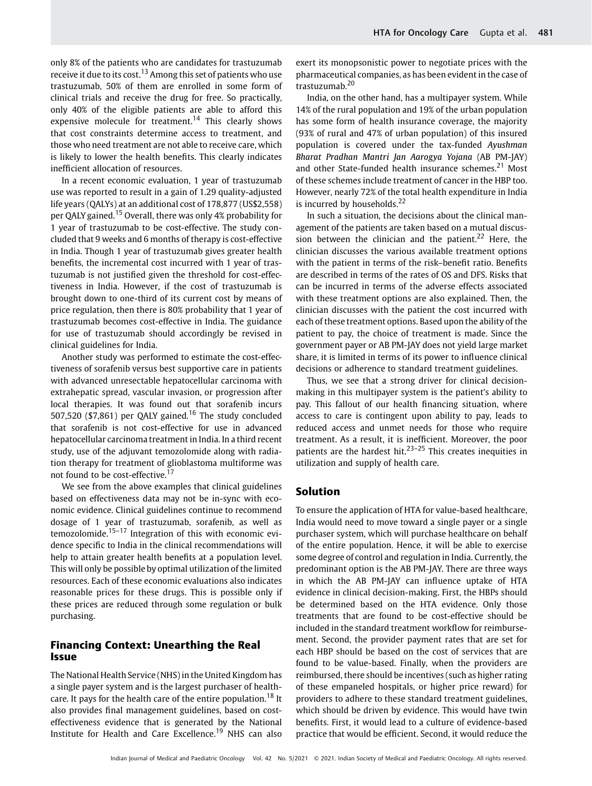only 8% of the patients who are candidates for trastuzumab receive it due to its cost.<sup>13</sup> Among this set of patients who use trastuzumab, 50% of them are enrolled in some form of clinical trials and receive the drug for free. So practically, only 40% of the eligible patients are able to afford this expensive molecule for treatment.<sup>14</sup> This clearly shows that cost constraints determine access to treatment, and those who need treatment are not able to receive care, which is likely to lower the health benefits. This clearly indicates inefficient allocation of resources.

In a recent economic evaluation, 1 year of trastuzumab use was reported to result in a gain of 1.29 quality-adjusted life years (QALYs) at an additional cost of 178,877 (US\$2,558) per QALY gained.<sup>15</sup> Overall, there was only 4% probability for 1 year of trastuzumab to be cost-effective. The study concluded that 9 weeks and 6 months of therapy is cost-effective in India. Though 1 year of trastuzumab gives greater health benefits, the incremental cost incurred with 1 year of trastuzumab is not justified given the threshold for cost-effectiveness in India. However, if the cost of trastuzumab is brought down to one-third of its current cost by means of price regulation, then there is 80% probability that 1 year of trastuzumab becomes cost-effective in India. The guidance for use of trastuzumab should accordingly be revised in clinical guidelines for India.

Another study was performed to estimate the cost-effectiveness of sorafenib versus best supportive care in patients with advanced unresectable hepatocellular carcinoma with extrahepatic spread, vascular invasion, or progression after local therapies. It was found out that sorafenib incurs 507,520 (\$7,861) per QALY gained.<sup>16</sup> The study concluded that sorafenib is not cost-effective for use in advanced hepatocellular carcinoma treatment in India. In a third recent study, use of the adjuvant temozolomide along with radiation therapy for treatment of glioblastoma multiforme was not found to be cost-effective.<sup>17</sup>

We see from the above examples that clinical guidelines based on effectiveness data may not be in-sync with economic evidence. Clinical guidelines continue to recommend dosage of 1 year of trastuzumab, sorafenib, as well as temozolomide.<sup>15–17</sup> Integration of this with economic evidence specific to India in the clinical recommendations will help to attain greater health benefits at a population level. This will only be possible by optimal utilization of the limited resources. Each of these economic evaluations also indicates reasonable prices for these drugs. This is possible only if these prices are reduced through some regulation or bulk purchasing.

# Financing Context: Unearthing the Real Issue

The National Health Service (NHS) in the United Kingdom has a single payer system and is the largest purchaser of healthcare. It pays for the health care of the entire population.<sup>18</sup> It also provides final management guidelines, based on costeffectiveness evidence that is generated by the National Institute for Health and Care Excellence.<sup>19</sup> NHS can also exert its monopsonistic power to negotiate prices with the pharmaceutical companies, as has been evident in the case of trastuzumab.<sup>20</sup>

India, on the other hand, has a multipayer system. While 14% of the rural population and 19% of the urban population has some form of health insurance coverage, the majority (93% of rural and 47% of urban population) of this insured population is covered under the tax-funded Ayushman Bharat Pradhan Mantri Jan Aarogya Yojana (AB PM-JAY) and other State-funded health insurance schemes. $21$  Most of these schemes include treatment of cancer in the HBP too. However, nearly 72% of the total health expenditure in India is incurred by households.<sup>22</sup>

In such a situation, the decisions about the clinical management of the patients are taken based on a mutual discussion between the clinician and the patient.<sup>22</sup> Here, the clinician discusses the various available treatment options with the patient in terms of the risk–benefit ratio. Benefits are described in terms of the rates of OS and DFS. Risks that can be incurred in terms of the adverse effects associated with these treatment options are also explained. Then, the clinician discusses with the patient the cost incurred with each of these treatment options. Based upon the ability of the patient to pay, the choice of treatment is made. Since the government payer or AB PM-JAY does not yield large market share, it is limited in terms of its power to influence clinical decisions or adherence to standard treatment guidelines.

Thus, we see that a strong driver for clinical decisionmaking in this multipayer system is the patient's ability to pay. This fallout of our health financing situation, where access to care is contingent upon ability to pay, leads to reduced access and unmet needs for those who require treatment. As a result, it is inefficient. Moreover, the poor patients are the hardest hit. $23-25$  This creates inequities in utilization and supply of health care.

### Solution

To ensure the application of HTA for value-based healthcare, India would need to move toward a single payer or a single purchaser system, which will purchase healthcare on behalf of the entire population. Hence, it will be able to exercise some degree of control and regulation in India. Currently, the predominant option is the AB PM-JAY. There are three ways in which the AB PM-JAY can influence uptake of HTA evidence in clinical decision-making. First, the HBPs should be determined based on the HTA evidence. Only those treatments that are found to be cost-effective should be included in the standard treatment workflow for reimbursement. Second, the provider payment rates that are set for each HBP should be based on the cost of services that are found to be value-based. Finally, when the providers are reimbursed, there should be incentives (such as higher rating of these empaneled hospitals, or higher price reward) for providers to adhere to these standard treatment guidelines, which should be driven by evidence. This would have twin benefits. First, it would lead to a culture of evidence-based practice that would be efficient. Second, it would reduce the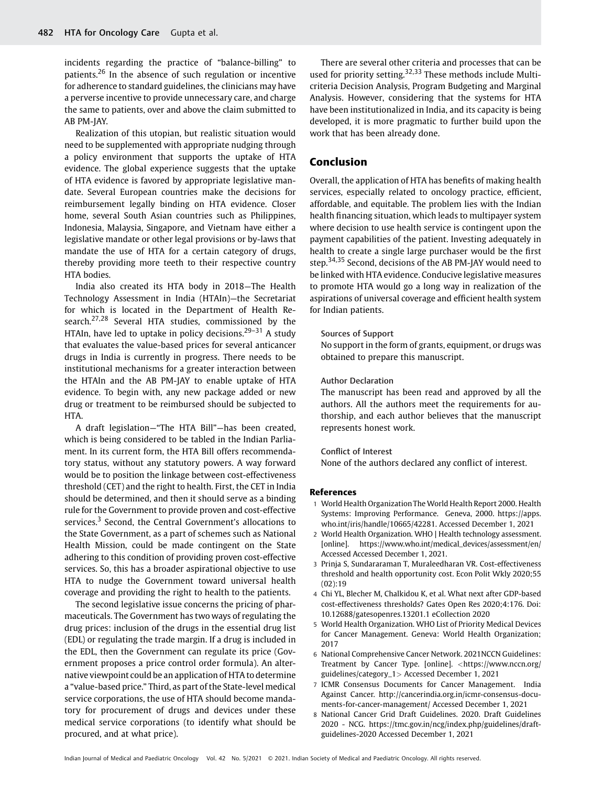incidents regarding the practice of "balance-billing" to patients.<sup>26</sup> In the absence of such regulation or incentive for adherence to standard guidelines, the clinicians may have a perverse incentive to provide unnecessary care, and charge the same to patients, over and above the claim submitted to AB PM-JAY.

Realization of this utopian, but realistic situation would need to be supplemented with appropriate nudging through a policy environment that supports the uptake of HTA evidence. The global experience suggests that the uptake of HTA evidence is favored by appropriate legislative mandate. Several European countries make the decisions for reimbursement legally binding on HTA evidence. Closer home, several South Asian countries such as Philippines, Indonesia, Malaysia, Singapore, and Vietnam have either a legislative mandate or other legal provisions or by-laws that mandate the use of HTA for a certain category of drugs, thereby providing more teeth to their respective country HTA bodies.

India also created its HTA body in 2018—The Health Technology Assessment in India (HTAIn)—the Secretariat for which is located in the Department of Health Research.<sup>27,28</sup> Several HTA studies, commissioned by the HTAIn, have led to uptake in policy decisions.<sup>29-31</sup> A study that evaluates the value-based prices for several anticancer drugs in India is currently in progress. There needs to be institutional mechanisms for a greater interaction between the HTAIn and the AB PM-JAY to enable uptake of HTA evidence. To begin with, any new package added or new drug or treatment to be reimbursed should be subjected to HTA.

A draft legislation—"The HTA Bill"—has been created, which is being considered to be tabled in the Indian Parliament. In its current form, the HTA Bill offers recommendatory status, without any statutory powers. A way forward would be to position the linkage between cost-effectiveness threshold (CET) and the right to health. First, the CET in India should be determined, and then it should serve as a binding rule for the Government to provide proven and cost-effective services.<sup>3</sup> Second, the Central Government's allocations to the State Government, as a part of schemes such as National Health Mission, could be made contingent on the State adhering to this condition of providing proven cost-effective services. So, this has a broader aspirational objective to use HTA to nudge the Government toward universal health coverage and providing the right to health to the patients.

The second legislative issue concerns the pricing of pharmaceuticals. The Government has two ways of regulating the drug prices: inclusion of the drugs in the essential drug list (EDL) or regulating the trade margin. If a drug is included in the EDL, then the Government can regulate its price (Government proposes a price control order formula). An alternative viewpoint could be an application of HTA to determine a "value-based price." Third, as part of the State-level medical service corporations, the use of HTA should become mandatory for procurement of drugs and devices under these medical service corporations (to identify what should be procured, and at what price).

There are several other criteria and processes that can be used for priority setting.<sup>32,33</sup> These methods include Multicriteria Decision Analysis, Program Budgeting and Marginal Analysis. However, considering that the systems for HTA have been institutionalized in India, and its capacity is being developed, it is more pragmatic to further build upon the work that has been already done.

# Conclusion

Overall, the application of HTA has benefits of making health services, especially related to oncology practice, efficient, affordable, and equitable. The problem lies with the Indian health financing situation, which leads to multipayer system where decision to use health service is contingent upon the payment capabilities of the patient. Investing adequately in health to create a single large purchaser would be the first step.<sup>34,35</sup> Second, decisions of the AB PM-JAY would need to be linked with HTA evidence. Conducive legislative measures to promote HTA would go a long way in realization of the aspirations of universal coverage and efficient health system for Indian patients.

#### Sources of Support

No support in the form of grants, equipment, or drugs was obtained to prepare this manuscript.

#### Author Declaration

The manuscript has been read and approved by all the authors. All the authors meet the requirements for authorship, and each author believes that the manuscript represents honest work.

#### Conflict of Interest

None of the authors declared any conflict of interest.

#### References

- 1 World Health Organization The World Health Report 2000. Health Systems: Improving Performance. Geneva, 2000. https://apps. who.int/iris/handle/10665/42281. Accessed December 1, 2021
- 2 World Health Organization. WHO | Health technology assessment. [online]. [https://www.who.int/medical\\_devices/assessment/en/](https://www.who.int/medical_devices/assessment/en/) Accessed Accessed December 1, 2021.
- 3 Prinja S, Sundararaman T, Muraleedharan VR. Cost-effectiveness threshold and health opportunity cost. Econ Polit Wkly 2020;55 (02):19
- 4 Chi YL, Blecher M, Chalkidou K, et al. What next after GDP-based cost-effectiveness thresholds? Gates Open Res 2020;4:176. Doi: 10.12688/gatesopenres.13201.1 eCollection 2020
- 5 World Health Organization. WHO List of Priority Medical Devices for Cancer Management. Geneva: World Health Organization; 2017
- 6 National Comprehensive Cancer Network. 2021NCCN Guidelines: Treatment by Cancer Type. [online]. <[https://www.nccn.org/](https://www.nccn.org/guidelines/category_1) [guidelines/category\\_1](https://www.nccn.org/guidelines/category_1)> Accessed December 1, 2021
- 7 ICMR Consensus Documents for Cancer Management. India Against Cancer. http://cancerindia.org.in/icmr-consensus-documents-for-cancer-management/ Accessed December 1, 2021
- 8 National Cancer Grid Draft Guidelines. 2020. Draft Guidelines 2020 - NCG. [https://tmc.gov.in/ncg/index.php/guidelines/draft](https://tmc.gov.in/ncg/index.php/guidelines/draft-guidelines-2020)[guidelines-2020](https://tmc.gov.in/ncg/index.php/guidelines/draft-guidelines-2020) Accessed December 1, 2021